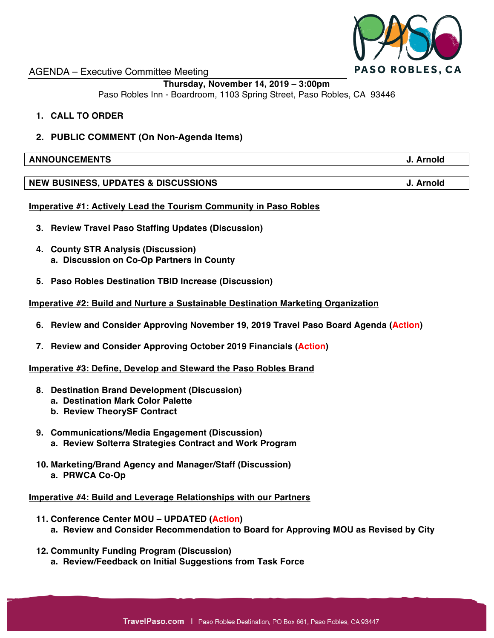

## AGENDA – Executive Committee Meeting

# **Thursday, November 14, 2019 – 3:00pm**

Paso Robles Inn - Boardroom, 1103 Spring Street, Paso Robles, CA 93446

- **1. CALL TO ORDER**
- **2. PUBLIC COMMENT (On Non-Agenda Items)**

#### **ANNOUNCEMENTS J. Arnold**

## **NEW BUSINESS, UPDATES & DISCUSSIONS J. Arnold**

## **Imperative #1: Actively Lead the Tourism Community in Paso Robles**

- **3. Review Travel Paso Staffing Updates (Discussion)**
- **4. County STR Analysis (Discussion) a. Discussion on Co-Op Partners in County**
- **5. Paso Robles Destination TBID Increase (Discussion)**

## **Imperative #2: Build and Nurture a Sustainable Destination Marketing Organization**

- **6. Review and Consider Approving November 19, 2019 Travel Paso Board Agenda (Action)**
- **7. Review and Consider Approving October 2019 Financials (Action)**

#### **Imperative #3: Define, Develop and Steward the Paso Robles Brand**

- **8. Destination Brand Development (Discussion)**
	- **a. Destination Mark Color Palette**
	- **b. Review TheorySF Contract**
- **9. Communications/Media Engagement (Discussion) a. Review Solterra Strategies Contract and Work Program**
- **10. Marketing/Brand Agency and Manager/Staff (Discussion) a. PRWCA Co-Op**

#### **Imperative #4: Build and Leverage Relationships with our Partners**

- **11. Conference Center MOU – UPDATED (Action) a. Review and Consider Recommendation to Board for Approving MOU as Revised by City**
- **12. Community Funding Program (Discussion) a. Review/Feedback on Initial Suggestions from Task Force**